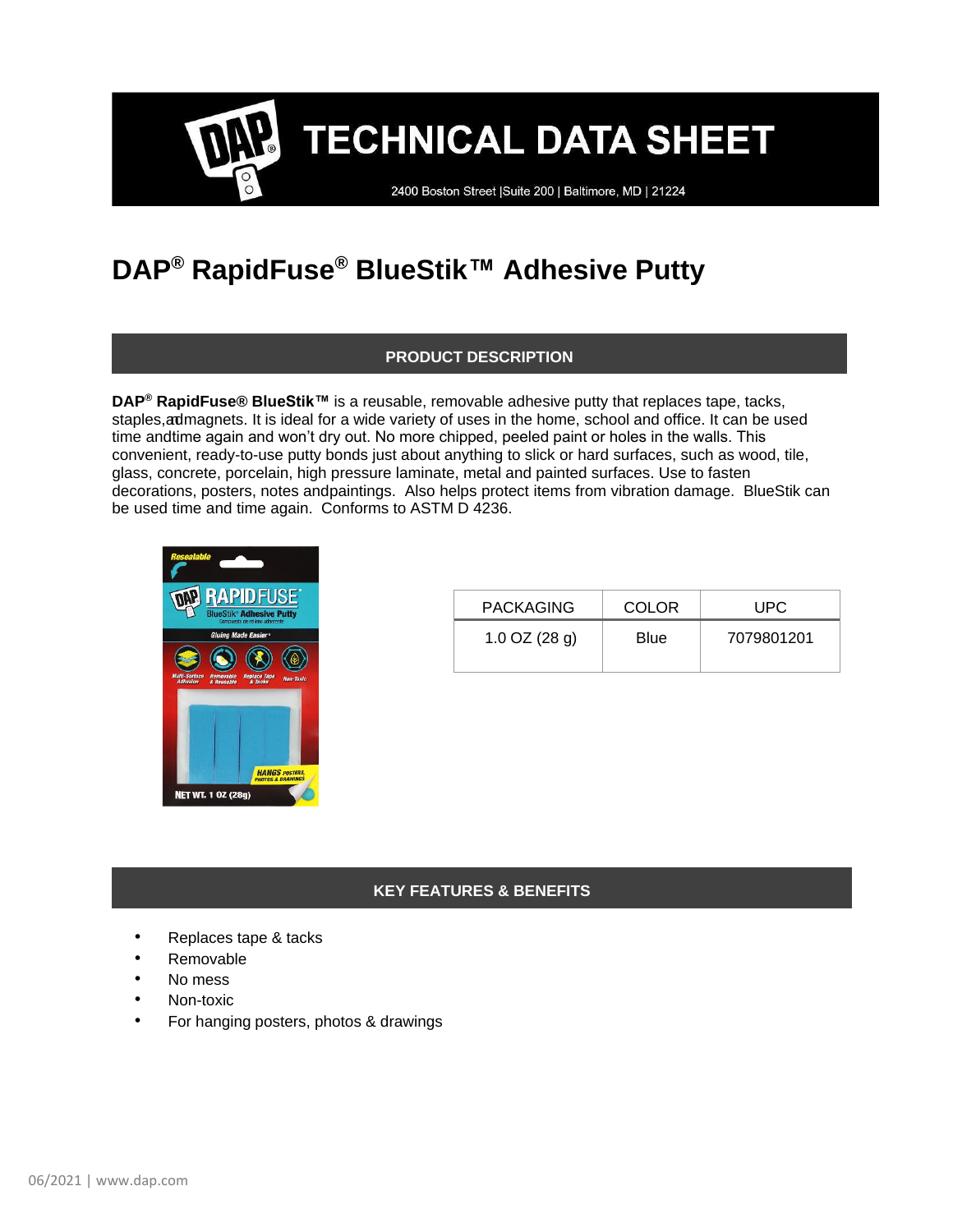2400 Boston Street | Suite 200 | Baltimore, MD | 21224

### **DAP® RapidFuse® BlueStik™ Adhesive Putty**

#### **PRODUCT DESCRIPTION**

**DAP® RapidFuse® BlueStik™** is a reusable, removable adhesive putty that replaces tape, tacks, staples, admagnets. It is ideal for a wide variety of uses in the home, school and office. It can be used time andtime again and won't dry out. No more chipped, peeled paint or holes in the walls. This convenient, ready-to-use putty bonds just about anything to slick or hard surfaces, such as wood, tile, glass, concrete, porcelain, high pressure laminate, metal and painted surfaces. Use to fasten decorations, posters, notes andpaintings. Also helps protect items from vibration damage. BlueStik can be used time and time again. Conforms to ASTM D 4236.



| <b>PACKAGING</b> | COLOR | UPC.       |
|------------------|-------|------------|
| $1.0$ OZ (28 g)  | Blue  | 7079801201 |

#### **KEY FEATURES & BENEFITS**

- Replaces tape & tacks
- **Removable**
- No mess
- Non-toxic
- For hanging posters, photos & drawings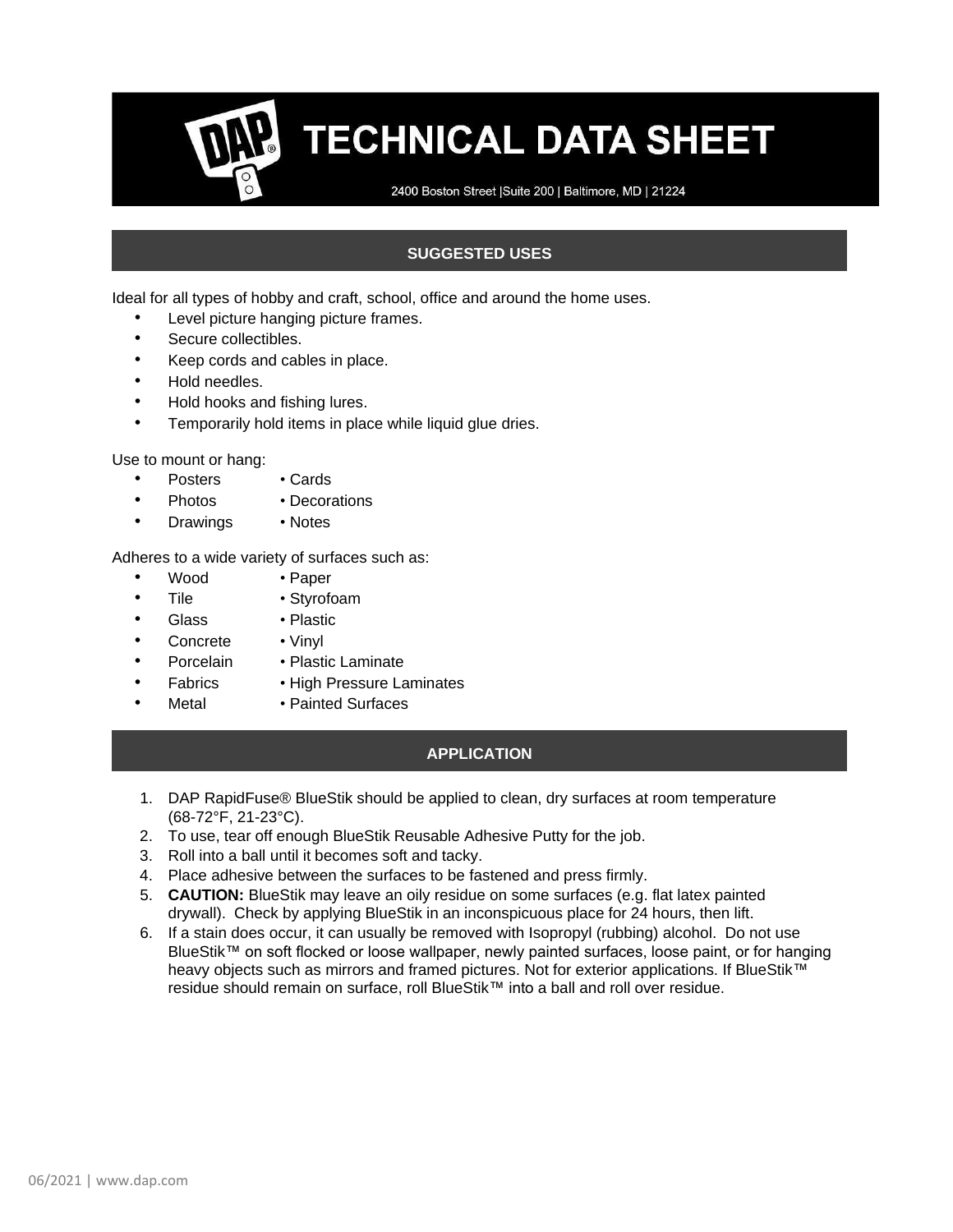2400 Boston Street | Suite 200 | Baltimore, MD | 21224

#### **SUGGESTED USES**

Ideal for all types of hobby and craft, school, office and around the home uses.

- Level picture hanging picture frames.
- Secure collectibles.
- Keep cords and cables in place.
- Hold needles.
- Hold hooks and fishing lures.
- Temporarily hold items in place while liquid glue dries.

Use to mount or hang:

- Posters Cards
- Photos Decorations
- Drawings Notes

Adheres to a wide variety of surfaces such as:

- Wood Paper
- Tile Styrofoam
- Glass · Plastic
- Concrete Vinyl
- Porcelain Plastic Laminate
- Fabrics High Pressure Laminates
- Metal Painted Surfaces

#### **APPLICATION**

- 1. DAP RapidFuse® BlueStik should be applied to clean, dry surfaces at room temperature (68-72°F, 21-23°C).
- 2. To use, tear off enough BlueStik Reusable Adhesive Putty for the job.
- 3. Roll into a ball until it becomes soft and tacky.
- 4. Place adhesive between the surfaces to be fastened and press firmly.
- 5. **CAUTION:** BlueStik may leave an oily residue on some surfaces (e.g. flat latex painted drywall). Check by applying BlueStik in an inconspicuous place for 24 hours, then lift.
- 6. If a stain does occur, it can usually be removed with Isopropyl (rubbing) alcohol. Do not use BlueStik™ on soft flocked or loose wallpaper, newly painted surfaces, loose paint, or for hanging heavy objects such as mirrors and framed pictures. Not for exterior applications. If BlueStik™ residue should remain on surface, roll BlueStik™ into a ball and roll over residue.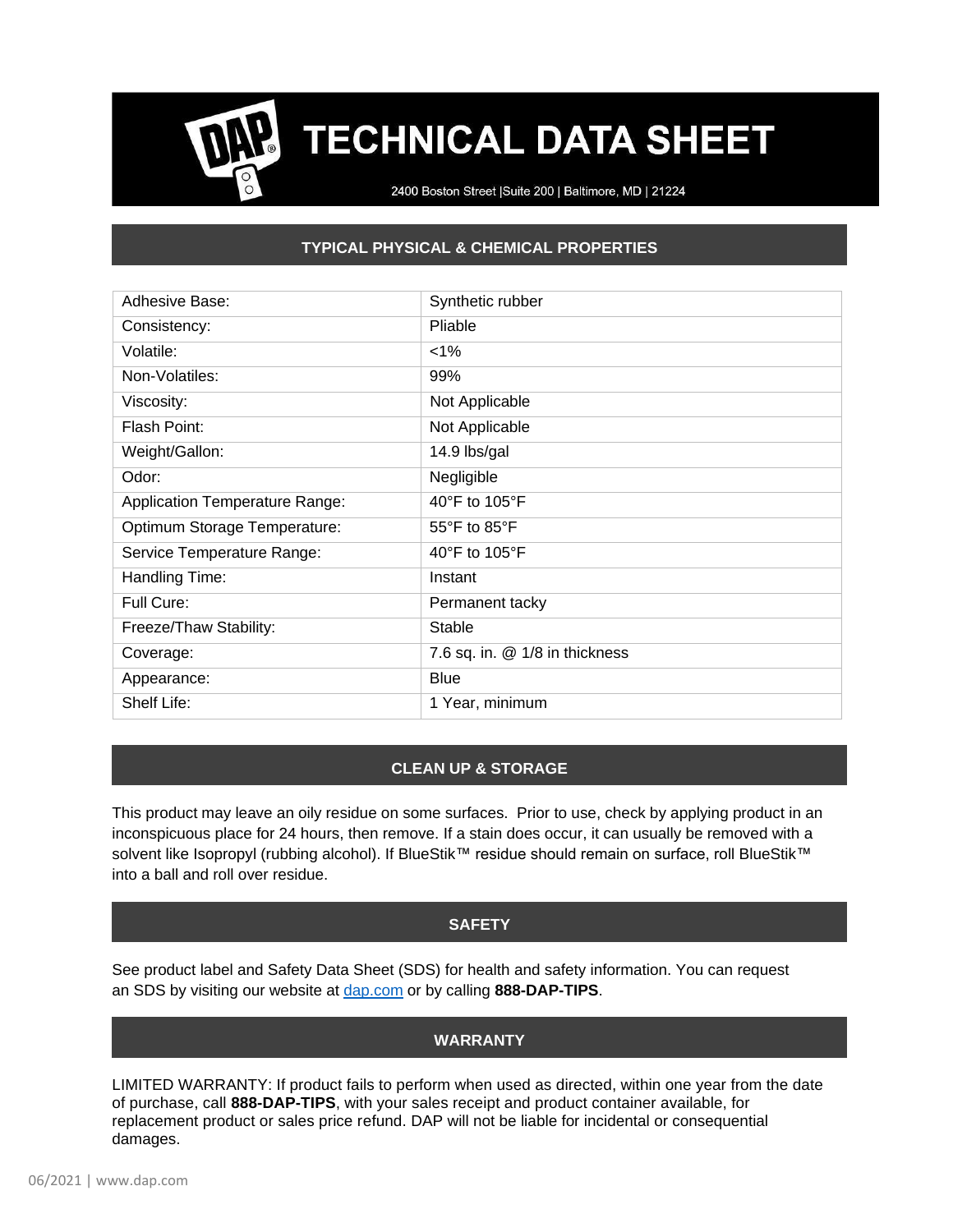2400 Boston Street | Suite 200 | Baltimore, MD | 21224

#### **TYPICAL PHYSICAL & CHEMICAL PROPERTIES**

| Adhesive Base:                        | Synthetic rubber                 |  |
|---------------------------------------|----------------------------------|--|
| Consistency:                          | Pliable                          |  |
| Volatile:                             | $1\%$                            |  |
| Non-Volatiles:                        | 99%                              |  |
| Viscosity:                            | Not Applicable                   |  |
| Flash Point:                          | Not Applicable                   |  |
| Weight/Gallon:                        | 14.9 lbs/gal                     |  |
| Odor:                                 | Negligible                       |  |
| <b>Application Temperature Range:</b> | 40°F to 105°F                    |  |
| Optimum Storage Temperature:          | $55^{\circ}$ F to $85^{\circ}$ F |  |
| Service Temperature Range:            | 40°F to 105°F                    |  |
| Handling Time:                        | Instant                          |  |
| Full Cure:                            | Permanent tacky                  |  |
| Freeze/Thaw Stability:                | <b>Stable</b>                    |  |
| Coverage:                             | 7.6 sq. in. @ 1/8 in thickness   |  |
| Appearance:                           | <b>Blue</b>                      |  |
| Shelf Life:                           | 1 Year, minimum                  |  |

#### **CLEAN UP & STORAGE**

This product may leave an oily residue on some surfaces. Prior to use, check by applying product in an inconspicuous place for 24 hours, then remove. If a stain does occur, it can usually be removed with a solvent like Isopropyl (rubbing alcohol). If BlueStik™ residue should remain on surface, roll BlueStik™ into a ball and roll over residue.

#### **SAFETY**

See product label and Safety Data Sheet (SDS) for health and safety information. You can request an SDS by visiting our website [at](http://www.dap.com/) dap.com or by calling **888-DAP-TIPS**.

#### **WARRANTY**

LIMITED WARRANTY: If product fails to perform when used as directed, within one year from the date of purchase, call **888-DAP-TIPS**, with your sales receipt and product container available, for replacement product or sales price refund. DAP will not be liable for incidental or consequential damages.